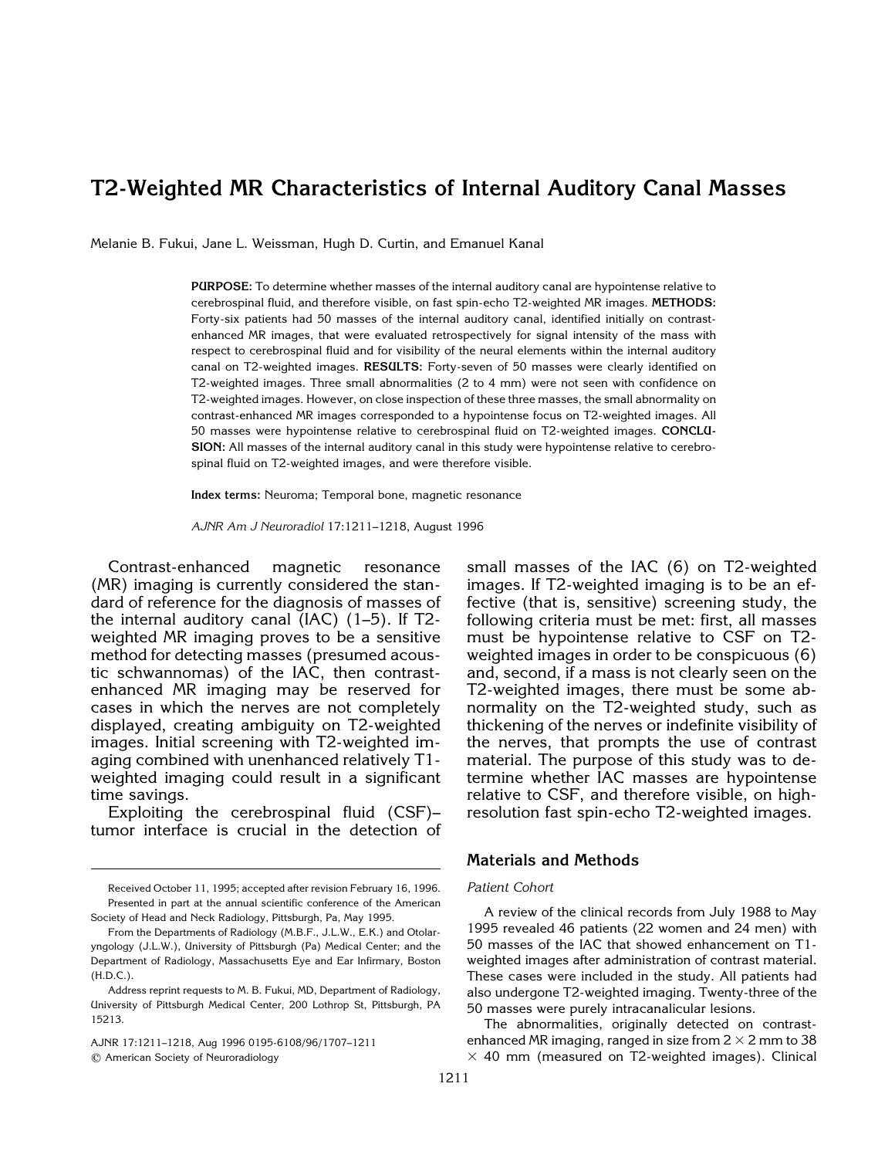# **T2-Weighted MR Characteristics of Internal Auditory Canal Masses**

Melanie B. Fukui, Jane L. Weissman, Hugh D. Curtin, and Emanuel Kanal

**PURPOSE:** To determine whether masses of the internal auditory canal are hypointense relative to cerebrospinal fluid, and therefore visible, on fast spin-echo T2-weighted MR images. **METHODS:** Forty-six patients had 50 masses of the internal auditory canal, identified initially on contrastenhanced MR images, that were evaluated retrospectively for signal intensity of the mass with respect to cerebrospinal fluid and for visibility of the neural elements within the internal auditory canal on T2-weighted images. **RESULTS:** Forty-seven of 50 masses were clearly identified on T2-weighted images. Three small abnormalities (2 to 4 mm) were not seen with confidence on T2-weighted images. However, on close inspection of these three masses, the small abnormality on contrast-enhanced MR images corresponded to a hypointense focus on T2-weighted images. All 50 masses were hypointense relative to cerebrospinal fluid on T2-weighted images. **CONCLU-SION:** All masses of the internal auditory canal in this study were hypointense relative to cerebrospinal fluid on T2-weighted images, and were therefore visible.

**Index terms:** Neuroma; Temporal bone, magnetic resonance

*AJNR Am J Neuroradiol* 17:1211–1218, August 1996

Contrast-enhanced magnetic resonance (MR) imaging is currently considered the standard of reference for the diagnosis of masses of the internal auditory canal (IAC) (1–5). If T2 weighted MR imaging proves to be a sensitive method for detecting masses (presumed acoustic schwannomas) of the IAC, then contrastenhanced MR imaging may be reserved for cases in which the nerves are not completely displayed, creating ambiguity on T2-weighted images. Initial screening with T2-weighted imaging combined with unenhanced relatively T1 weighted imaging could result in a significant time savings.

Exploiting the cerebrospinal fluid (CSF)– tumor interface is crucial in the detection of small masses of the IAC (6) on T2-weighted images. If T2-weighted imaging is to be an effective (that is, sensitive) screening study, the following criteria must be met: first, all masses must be hypointense relative to CSF on T2 weighted images in order to be conspicuous (6) and, second, if a mass is not clearly seen on the T2-weighted images, there must be some abnormality on the T2-weighted study, such as thickening of the nerves or indefinite visibility of the nerves, that prompts the use of contrast material. The purpose of this study was to determine whether IAC masses are hypointense relative to CSF, and therefore visible, on highresolution fast spin-echo T2-weighted images.

# **Materials and Methods**

### *Patient Cohort*

A review of the clinical records from July 1988 to May 1995 revealed 46 patients (22 women and 24 men) with 50 masses of the IAC that showed enhancement on T1 weighted images after administration of contrast material. These cases were included in the study. All patients had also undergone T2-weighted imaging. Twenty-three of the 50 masses were purely intracanalicular lesions.

The abnormalities, originally detected on contrastenhanced MR imaging, ranged in size from  $2 \times 2$  mm to 38  $\times$  40 mm (measured on T2-weighted images). Clinical

Received October 11, 1995; accepted after revision February 16, 1996. Presented in part at the annual scientific conference of the American Society of Head and Neck Radiology, Pittsburgh, Pa, May 1995.

From the Departments of Radiology (M.B.F., J.L.W., E.K.) and Otolaryngology (J.L.W.), University of Pittsburgh (Pa) Medical Center; and the Department of Radiology, Massachusetts Eye and Ear Infirmary, Boston (H.D.C.).

Address reprint requests to M. B. Fukui, MD, Department of Radiology, University of Pittsburgh Medical Center, 200 Lothrop St, Pittsburgh, PA 15213.

AJNR 17:1211–1218, Aug 1996 0195-6108/96/1707–1211 q American Society of Neuroradiology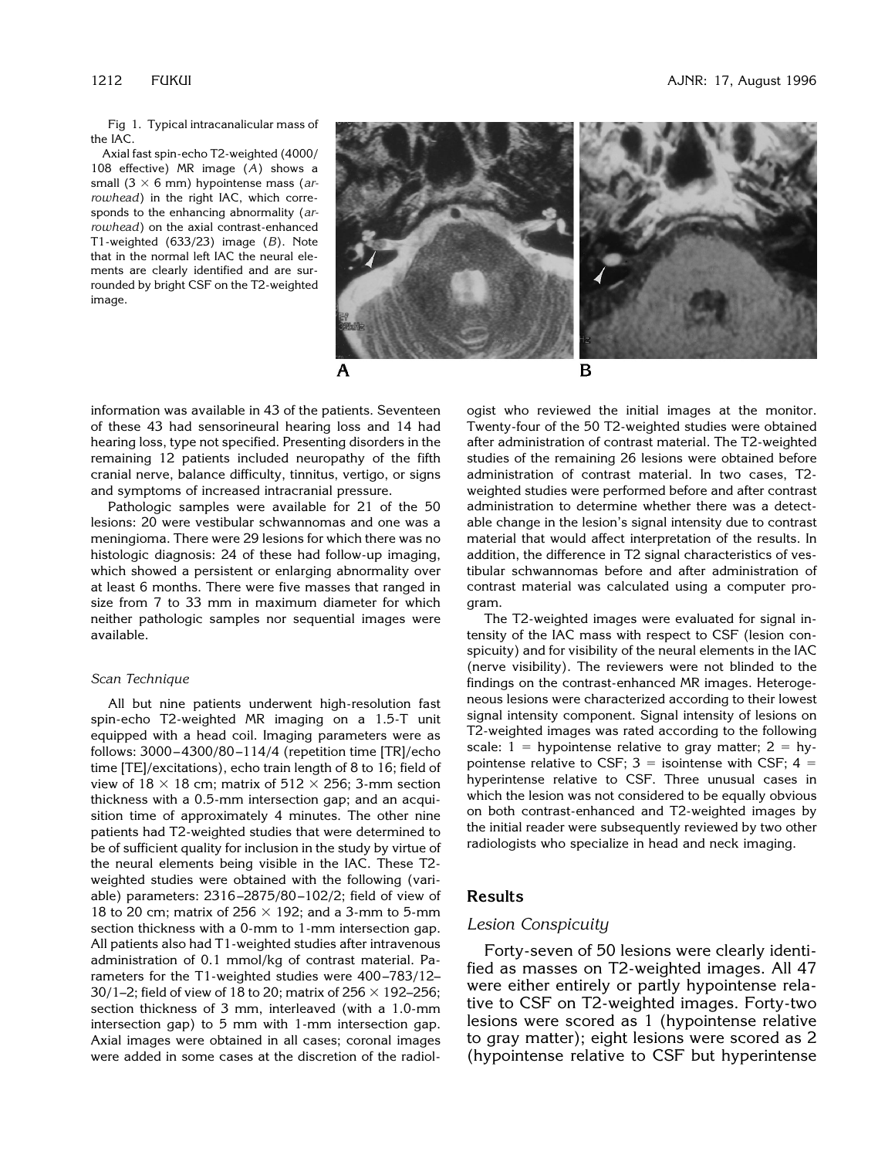Fig 1. Typical intracanalicular mass of the IAC.

Axial fast spin-echo T2-weighted (4000/ 108 effective) MR image (*A*) shows a small (3  $\times$  6 mm) hypointense mass (ar*rowhead*) in the right IAC, which corresponds to the enhancing abnormality (*arrowhead*) on the axial contrast-enhanced T1-weighted (633/23) image (*B*). Note that in the normal left IAC the neural elements are clearly identified and are surrounded by bright CSF on the T2-weighted image.



information was available in 43 of the patients. Seventeen of these 43 had sensorineural hearing loss and 14 had hearing loss, type not specified. Presenting disorders in the remaining 12 patients included neuropathy of the fifth cranial nerve, balance difficulty, tinnitus, vertigo, or signs and symptoms of increased intracranial pressure.

Pathologic samples were available for 21 of the 50 lesions: 20 were vestibular schwannomas and one was a meningioma. There were 29 lesions for which there was no histologic diagnosis: 24 of these had follow-up imaging, which showed a persistent or enlarging abnormality over at least 6 months. There were five masses that ranged in size from 7 to 33 mm in maximum diameter for which neither pathologic samples nor sequential images were available.

#### *Scan Technique*

All but nine patients underwent high-resolution fast spin-echo T2-weighted MR imaging on a 1.5-T unit equipped with a head coil. Imaging parameters were as follows: 3000 – 4300/80 –114/4 (repetition time [TR]/echo time [TE]/excitations), echo train length of 8 to 16; field of view of  $18 \times 18$  cm; matrix of  $512 \times 256$ ; 3-mm section thickness with a 0.5-mm intersection gap; and an acquisition time of approximately 4 minutes. The other nine patients had T2-weighted studies that were determined to be of sufficient quality for inclusion in the study by virtue of the neural elements being visible in the IAC. These T2 weighted studies were obtained with the following (variable) parameters: 2316 –2875/80 –102/2; field of view of 18 to 20 cm; matrix of 256  $\times$  192; and a 3-mm to 5-mm section thickness with a 0-mm to 1-mm intersection gap. All patients also had T1-weighted studies after intravenous administration of 0.1 mmol/kg of contrast material. Parameters for the T1-weighted studies were 400 –783/12– 30/1–2; field of view of 18 to 20; matrix of 256  $\times$  192–256; section thickness of 3 mm, interleaved (with a 1.0-mm intersection gap) to 5 mm with 1-mm intersection gap. Axial images were obtained in all cases; coronal images were added in some cases at the discretion of the radiologist who reviewed the initial images at the monitor. Twenty-four of the 50 T2-weighted studies were obtained after administration of contrast material. The T2-weighted studies of the remaining 26 lesions were obtained before administration of contrast material. In two cases, T2 weighted studies were performed before and after contrast administration to determine whether there was a detectable change in the lesion's signal intensity due to contrast material that would affect interpretation of the results. In addition, the difference in T2 signal characteristics of vestibular schwannomas before and after administration of contrast material was calculated using a computer program.

The T2-weighted images were evaluated for signal intensity of the IAC mass with respect to CSF (lesion conspicuity) and for visibility of the neural elements in the IAC (nerve visibility). The reviewers were not blinded to the findings on the contrast-enhanced MR images. Heterogeneous lesions were characterized according to their lowest signal intensity component. Signal intensity of lesions on T2-weighted images was rated according to the following scale:  $1 =$  hypointense relative to gray matter;  $2 =$  hypointense relative to CSF;  $3 =$  isointense with CSF;  $4 =$ hyperintense relative to CSF. Three unusual cases in which the lesion was not considered to be equally obvious on both contrast-enhanced and T2-weighted images by the initial reader were subsequently reviewed by two other radiologists who specialize in head and neck imaging.

# **Results**

# *Lesion Conspicuity*

Forty-seven of 50 lesions were clearly identified as masses on T2-weighted images. All 47 were either entirely or partly hypointense relative to CSF on T2-weighted images. Forty-two lesions were scored as 1 (hypointense relative to gray matter); eight lesions were scored as 2 (hypointense relative to CSF but hyperintense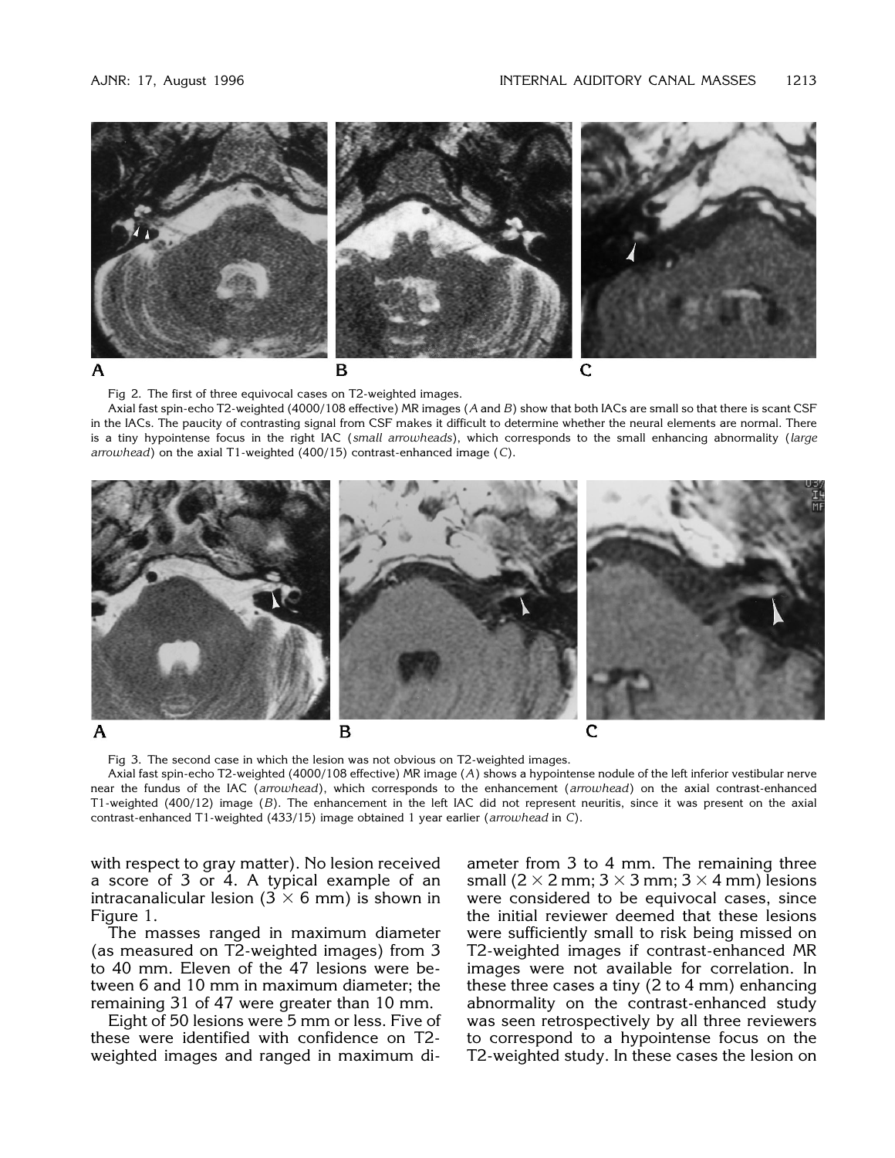

Fig 2. The first of three equivocal cases on T2-weighted images.

Axial fast spin-echo T2-weighted (4000/108 effective) MR images (*A* and *B*) show that both IACs are small so that there is scant CSF in the IACs. The paucity of contrasting signal from CSF makes it difficult to determine whether the neural elements are normal. There is a tiny hypointense focus in the right IAC (*small arrowheads*), which corresponds to the small enhancing abnormality (*large arrowhead*) on the axial T1-weighted (400/15) contrast-enhanced image (*C*).



Fig 3. The second case in which the lesion was not obvious on T2-weighted images.

Axial fast spin-echo T2-weighted (4000/108 effective) MR image (*A*) shows a hypointense nodule of the left inferior vestibular nerve near the fundus of the IAC (*arrowhead*), which corresponds to the enhancement (*arrowhead*) on the axial contrast-enhanced T1-weighted (400/12) image (*B*). The enhancement in the left IAC did not represent neuritis, since it was present on the axial contrast-enhanced T1-weighted (433/15) image obtained 1 year earlier (*arrowhead* in *C*).

with respect to gray matter). No lesion received a score of 3 or 4. A typical example of an intracanalicular lesion  $(3 \times 6$  mm) is shown in Figure 1.

The masses ranged in maximum diameter (as measured on T2-weighted images) from 3 to 40 mm. Eleven of the 47 lesions were between 6 and 10 mm in maximum diameter; the remaining 31 of 47 were greater than 10 mm.

Eight of 50 lesions were 5 mm or less. Five of these were identified with confidence on T2 weighted images and ranged in maximum diameter from 3 to 4 mm. The remaining three small ( $2 \times 2$  mm;  $3 \times 3$  mm;  $3 \times 4$  mm) lesions were considered to be equivocal cases, since the initial reviewer deemed that these lesions were sufficiently small to risk being missed on T2-weighted images if contrast-enhanced MR images were not available for correlation. In these three cases a tiny (2 to 4 mm) enhancing abnormality on the contrast-enhanced study was seen retrospectively by all three reviewers to correspond to a hypointense focus on the T2-weighted study. In these cases the lesion on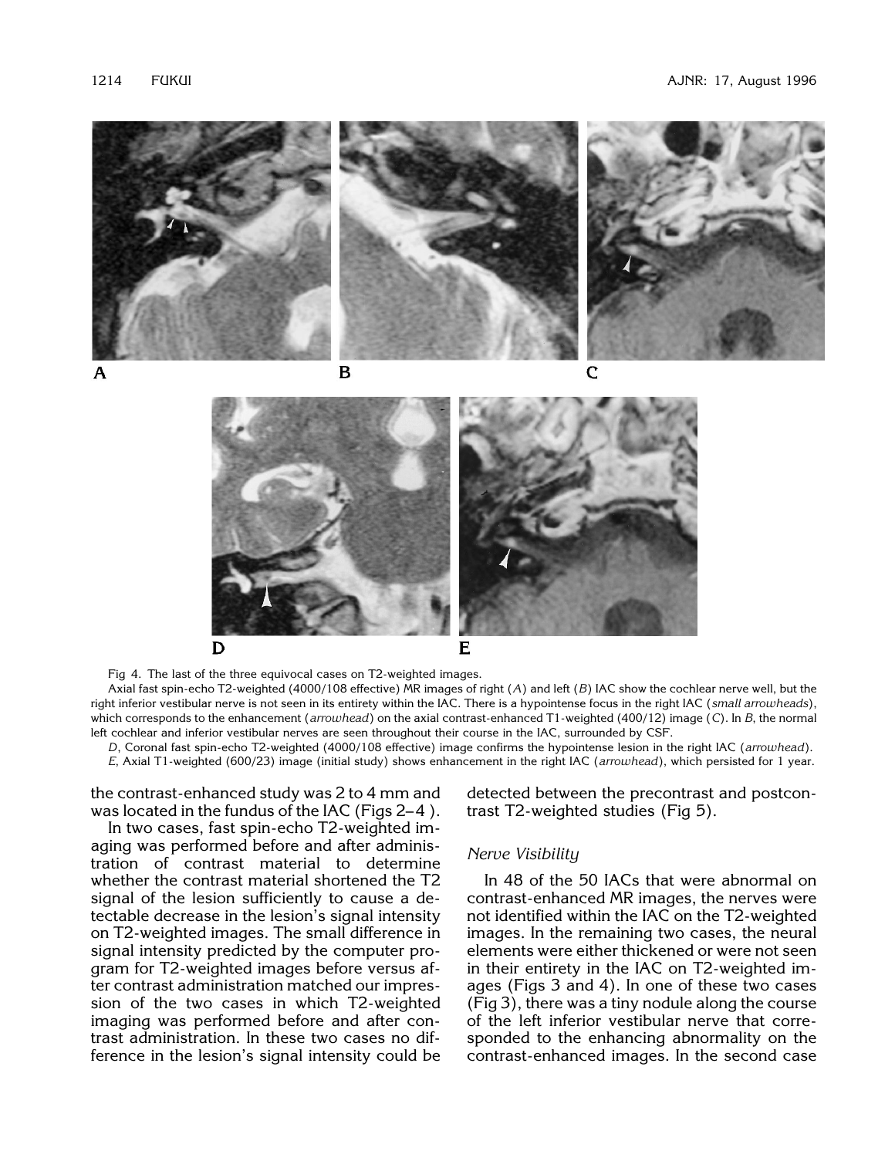



Fig 4. The last of the three equivocal cases on T2-weighted images.

Axial fast spin-echo T2-weighted (4000/108 effective) MR images of right (*A*) and left (*B*) IAC show the cochlear nerve well, but the right inferior vestibular nerve is not seen in its entirety within the IAC. There is a hypointense focus in the right IAC (*small arrowheads*), which corresponds to the enhancement (*arrowhead*) on the axial contrast-enhanced T1-weighted (400/12) image (*C*). In *B*, the normal left cochlear and inferior vestibular nerves are seen throughout their course in the IAC, surrounded by CSF.

*D*, Coronal fast spin-echo T2-weighted (4000/108 effective) image confirms the hypointense lesion in the right IAC (*arrowhead*).

*E*, Axial T1-weighted (600/23) image (initial study) shows enhancement in the right IAC (*arrowhead*), which persisted for 1 year.

the contrast-enhanced study was 2 to 4 mm and was located in the fundus of the IAC (Figs 2-4).

In two cases, fast spin-echo T2-weighted imaging was performed before and after administration of contrast material to determine whether the contrast material shortened the T2 signal of the lesion sufficiently to cause a detectable decrease in the lesion's signal intensity on T2-weighted images. The small difference in signal intensity predicted by the computer program for T2-weighted images before versus after contrast administration matched our impression of the two cases in which T2-weighted imaging was performed before and after contrast administration. In these two cases no difference in the lesion's signal intensity could be

detected between the precontrast and postcontrast T2-weighted studies (Fig 5).

## *Nerve Visibility*

In 48 of the 50 IACs that were abnormal on contrast-enhanced MR images, the nerves were not identified within the IAC on the T2-weighted images. In the remaining two cases, the neural elements were either thickened or were not seen in their entirety in the IAC on T2-weighted images (Figs 3 and 4). In one of these two cases (Fig 3), there was a tiny nodule along the course of the left inferior vestibular nerve that corresponded to the enhancing abnormality on the contrast-enhanced images. In the second case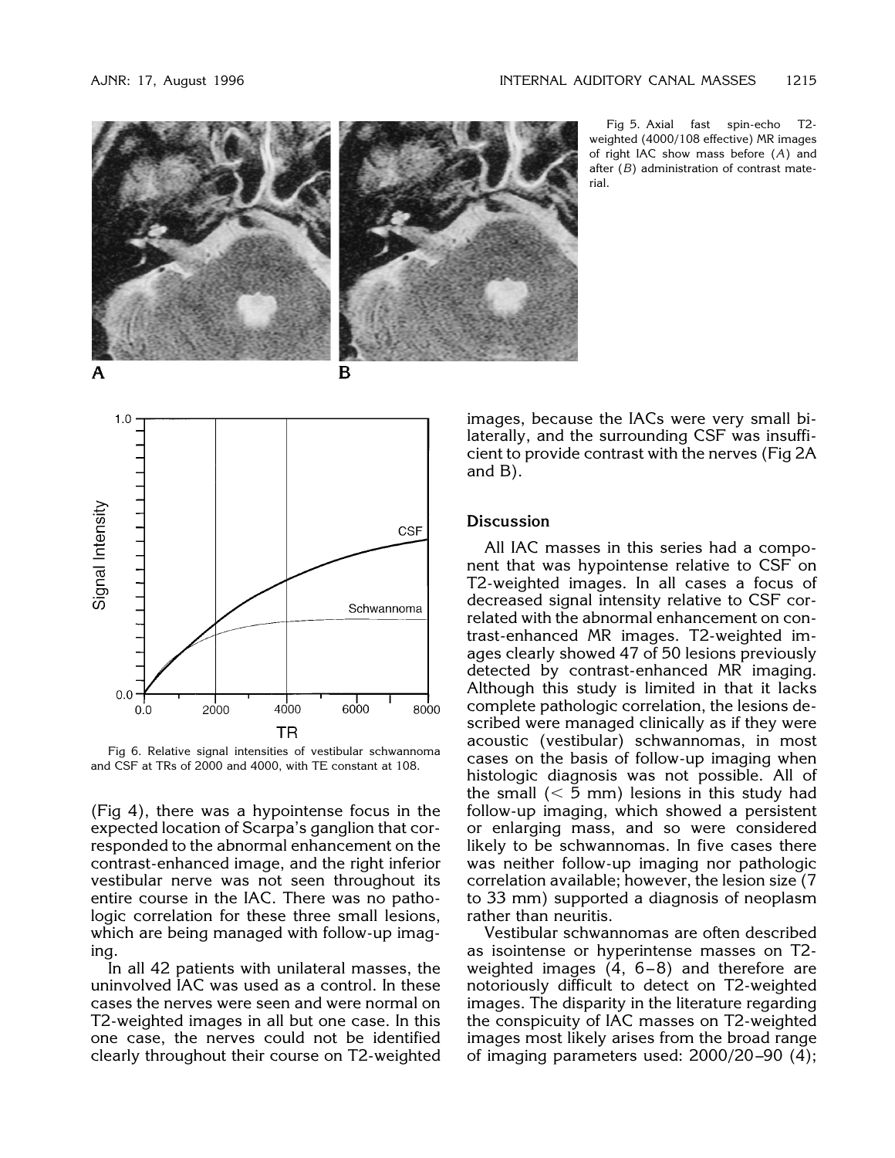

Fig 5. Axial fast spin-echo T2 weighted (4000/108 effective) MR images of right IAC show mass before (*A*) and after (*B*) administration of contrast material.



Fig 6. Relative signal intensities of vestibular schwannoma and CSF at TRs of 2000 and 4000, with TE constant at 108.

(Fig 4), there was a hypointense focus in the expected location of Scarpa's ganglion that corresponded to the abnormal enhancement on the contrast-enhanced image, and the right inferior vestibular nerve was not seen throughout its entire course in the IAC. There was no pathologic correlation for these three small lesions, which are being managed with follow-up imaging.

In all 42 patients with unilateral masses, the uninvolved IAC was used as a control. In these cases the nerves were seen and were normal on T2-weighted images in all but one case. In this one case, the nerves could not be identified clearly throughout their course on T2-weighted images, because the IACs were very small bilaterally, and the surrounding CSF was insufficient to provide contrast with the nerves (Fig 2A and B).

# **Discussion**

All IAC masses in this series had a component that was hypointense relative to CSF on T2-weighted images. In all cases a focus of decreased signal intensity relative to CSF correlated with the abnormal enhancement on contrast-enhanced MR images. T2-weighted images clearly showed 47 of 50 lesions previously detected by contrast-enhanced MR imaging. Although this study is limited in that it lacks complete pathologic correlation, the lesions described were managed clinically as if they were acoustic (vestibular) schwannomas, in most cases on the basis of follow-up imaging when histologic diagnosis was not possible. All of the small  $(< 5$  mm) lesions in this study had follow-up imaging, which showed a persistent or enlarging mass, and so were considered likely to be schwannomas. In five cases there was neither follow-up imaging nor pathologic correlation available; however, the lesion size (7 to 33 mm) supported a diagnosis of neoplasm rather than neuritis.

Vestibular schwannomas are often described as isointense or hyperintense masses on T2 weighted images  $(4, 6-8)$  and therefore are notoriously difficult to detect on T2-weighted images. The disparity in the literature regarding the conspicuity of IAC masses on T2-weighted images most likely arises from the broad range of imaging parameters used: 2000/20 –90 (4);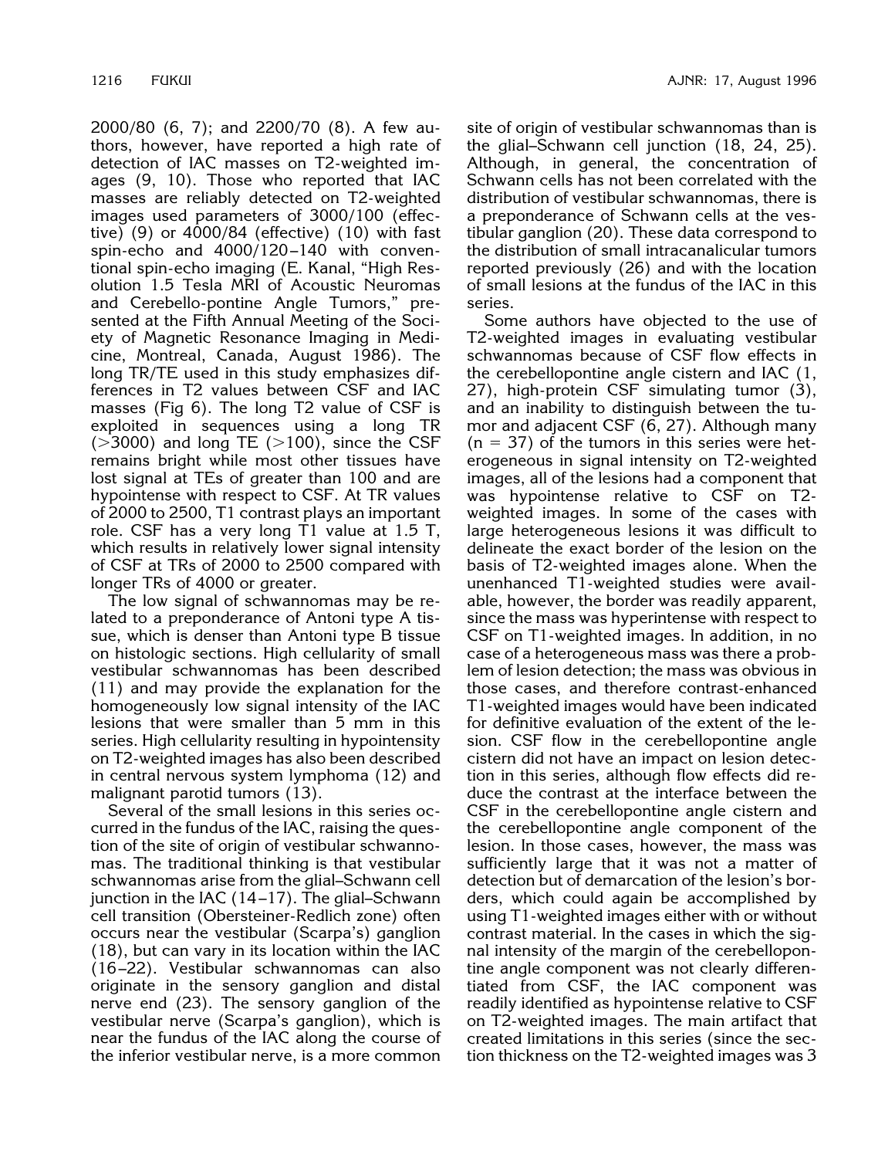2000/80 (6, 7); and 2200/70 (8). A few authors, however, have reported a high rate of detection of IAC masses on T2-weighted images (9, 10). Those who reported that IAC masses are reliably detected on T2-weighted images used parameters of 3000/100 (effective) (9) or 4000/84 (effective) (10) with fast spin-echo and 4000/120-140 with conventional spin-echo imaging (E. Kanal, "High Resolution 1.5 Tesla MRI of Acoustic Neuromas and Cerebello-pontine Angle Tumors," presented at the Fifth Annual Meeting of the Society of Magnetic Resonance Imaging in Medicine, Montreal, Canada, August 1986). The long TR/TE used in this study emphasizes differences in T2 values between CSF and IAC masses (Fig 6). The long T2 value of CSF is exploited in sequences using a long TR  $($ >3000) and long TE (>100), since the CSF remains bright while most other tissues have lost signal at TEs of greater than 100 and are hypointense with respect to CSF. At TR values of 2000 to 2500, T1 contrast plays an important role. CSF has a very long T1 value at 1.5 T, which results in relatively lower signal intensity of CSF at TRs of 2000 to 2500 compared with longer TRs of 4000 or greater.

The low signal of schwannomas may be related to a preponderance of Antoni type A tissue, which is denser than Antoni type B tissue on histologic sections. High cellularity of small vestibular schwannomas has been described (11) and may provide the explanation for the homogeneously low signal intensity of the IAC lesions that were smaller than 5 mm in this series. High cellularity resulting in hypointensity on T2-weighted images has also been described in central nervous system lymphoma (12) and malignant parotid tumors (13).

Several of the small lesions in this series occurred in the fundus of the IAC, raising the question of the site of origin of vestibular schwannomas. The traditional thinking is that vestibular schwannomas arise from the glial–Schwann cell junction in the IAC (14 –17). The glial–Schwann cell transition (Obersteiner-Redlich zone) often occurs near the vestibular (Scarpa's) ganglion (18), but can vary in its location within the IAC (16 –22). Vestibular schwannomas can also originate in the sensory ganglion and distal nerve end (23). The sensory ganglion of the vestibular nerve (Scarpa's ganglion), which is near the fundus of the IAC along the course of the inferior vestibular nerve, is a more common site of origin of vestibular schwannomas than is the glial–Schwann cell junction (18, 24, 25). Although, in general, the concentration of Schwann cells has not been correlated with the distribution of vestibular schwannomas, there is a preponderance of Schwann cells at the vestibular ganglion (20). These data correspond to the distribution of small intracanalicular tumors reported previously (26) and with the location of small lesions at the fundus of the IAC in this series.

Some authors have objected to the use of T2-weighted images in evaluating vestibular schwannomas because of CSF flow effects in the cerebellopontine angle cistern and IAC (1, 27), high-protein CSF simulating tumor (3), and an inability to distinguish between the tumor and adjacent CSF (6, 27). Although many  $(n = 37)$  of the tumors in this series were heterogeneous in signal intensity on T2-weighted images, all of the lesions had a component that was hypointense relative to CSF on T2 weighted images. In some of the cases with large heterogeneous lesions it was difficult to delineate the exact border of the lesion on the basis of T2-weighted images alone. When the unenhanced T1-weighted studies were available, however, the border was readily apparent, since the mass was hyperintense with respect to CSF on T1-weighted images. In addition, in no case of a heterogeneous mass was there a problem of lesion detection; the mass was obvious in those cases, and therefore contrast-enhanced T1-weighted images would have been indicated for definitive evaluation of the extent of the lesion. CSF flow in the cerebellopontine angle cistern did not have an impact on lesion detection in this series, although flow effects did reduce the contrast at the interface between the CSF in the cerebellopontine angle cistern and the cerebellopontine angle component of the lesion. In those cases, however, the mass was sufficiently large that it was not a matter of detection but of demarcation of the lesion's borders, which could again be accomplished by using T1-weighted images either with or without contrast material. In the cases in which the signal intensity of the margin of the cerebellopontine angle component was not clearly differentiated from CSF, the IAC component was readily identified as hypointense relative to CSF on T2-weighted images. The main artifact that created limitations in this series (since the section thickness on the T2-weighted images was 3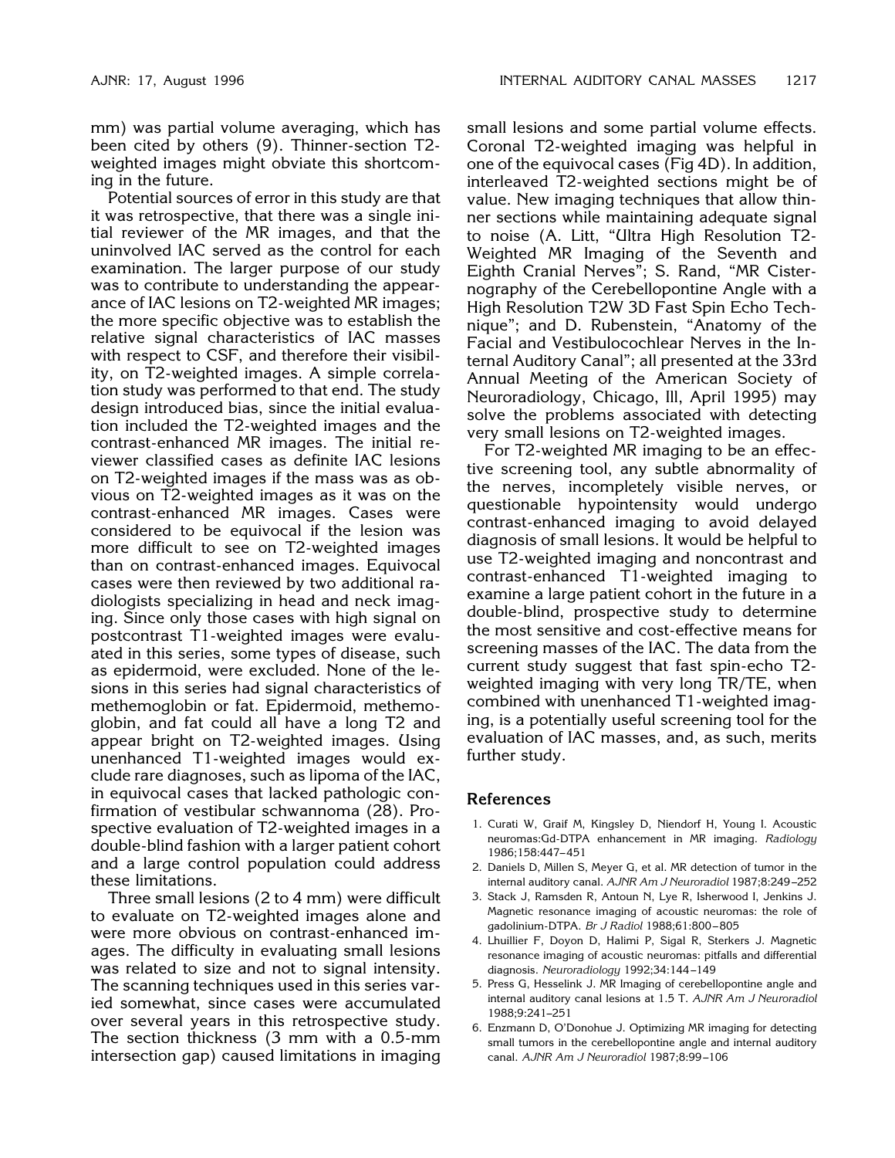mm) was partial volume averaging, which has been cited by others (9). Thinner-section T2 weighted images might obviate this shortcoming in the future.

Potential sources of error in this study are that it was retrospective, that there was a single initial reviewer of the MR images, and that the uninvolved IAC served as the control for each examination. The larger purpose of our study was to contribute to understanding the appearance of IAC lesions on T2-weighted MR images; the more specific objective was to establish the relative signal characteristics of IAC masses with respect to CSF, and therefore their visibility, on T2-weighted images. A simple correlation study was performed to that end. The study design introduced bias, since the initial evaluation included the T2-weighted images and the contrast-enhanced MR images. The initial reviewer classified cases as definite IAC lesions on T2-weighted images if the mass was as obvious on T2-weighted images as it was on the contrast-enhanced MR images. Cases were considered to be equivocal if the lesion was more difficult to see on T2-weighted images than on contrast-enhanced images. Equivocal cases were then reviewed by two additional radiologists specializing in head and neck imaging. Since only those cases with high signal on postcontrast T1-weighted images were evaluated in this series, some types of disease, such as epidermoid, were excluded. None of the lesions in this series had signal characteristics of methemoglobin or fat. Epidermoid, methemoglobin, and fat could all have a long T2 and appear bright on T2-weighted images. Using unenhanced T1-weighted images would exclude rare diagnoses, such as lipoma of the IAC, in equivocal cases that lacked pathologic confirmation of vestibular schwannoma (28). Prospective evaluation of T2-weighted images in a double-blind fashion with a larger patient cohort and a large control population could address these limitations.

Three small lesions (2 to 4 mm) were difficult to evaluate on T2-weighted images alone and were more obvious on contrast-enhanced images. The difficulty in evaluating small lesions was related to size and not to signal intensity. The scanning techniques used in this series varied somewhat, since cases were accumulated over several years in this retrospective study. The section thickness (3 mm with a 0.5-mm intersection gap) caused limitations in imaging

small lesions and some partial volume effects. Coronal T2-weighted imaging was helpful in one of the equivocal cases (Fig 4D). In addition, interleaved T2-weighted sections might be of value. New imaging techniques that allow thinner sections while maintaining adequate signal to noise (A. Litt, "Ultra High Resolution T2- Weighted MR Imaging of the Seventh and Eighth Cranial Nerves"; S. Rand, "MR Cisternography of the Cerebellopontine Angle with a High Resolution T2W 3D Fast Spin Echo Technique"; and D. Rubenstein, "Anatomy of the Facial and Vestibulocochlear Nerves in the Internal Auditory Canal"; all presented at the 33rd Annual Meeting of the American Society of Neuroradiology, Chicago, Ill, April 1995) may solve the problems associated with detecting very small lesions on T2-weighted images.

For T2-weighted MR imaging to be an effective screening tool, any subtle abnormality of the nerves, incompletely visible nerves, or questionable hypointensity would undergo contrast-enhanced imaging to avoid delayed diagnosis of small lesions. It would be helpful to use T2-weighted imaging and noncontrast and contrast-enhanced T1-weighted imaging to examine a large patient cohort in the future in a double-blind, prospective study to determine the most sensitive and cost-effective means for screening masses of the IAC. The data from the current study suggest that fast spin-echo T2 weighted imaging with very long TR/TE, when combined with unenhanced T1-weighted imaging, is a potentially useful screening tool for the evaluation of IAC masses, and, as such, merits further study.

# **References**

- 1. Curati W, Graif M, Kingsley D, Niendorf H, Young I. Acoustic neuromas:Gd-DTPA enhancement in MR imaging. *Radiology* 1986;158:447– 451
- 2. Daniels D, Millen S, Meyer G, et al. MR detection of tumor in the internal auditory canal. *AJNR Am J Neuroradiol* 1987;8:249 –252
- 3. Stack J, Ramsden R, Antoun N, Lye R, Isherwood I, Jenkins J. Magnetic resonance imaging of acoustic neuromas: the role of gadolinium-DTPA. *Br J Radiol* 1988;61:800 – 805
- 4. Lhuillier F, Doyon D, Halimi P, Sigal R, Sterkers J. Magnetic resonance imaging of acoustic neuromas: pitfalls and differential diagnosis. *Neuroradiology* 1992;34:144 –149
- 5. Press G, Hesselink J. MR Imaging of cerebellopontine angle and internal auditory canal lesions at 1.5 T. *AJNR Am J Neuroradiol* 1988;9:241–251
- 6. Enzmann D, O'Donohue J. Optimizing MR imaging for detecting small tumors in the cerebellopontine angle and internal auditory canal. *AJNR Am J Neuroradiol* 1987;8:99 –106